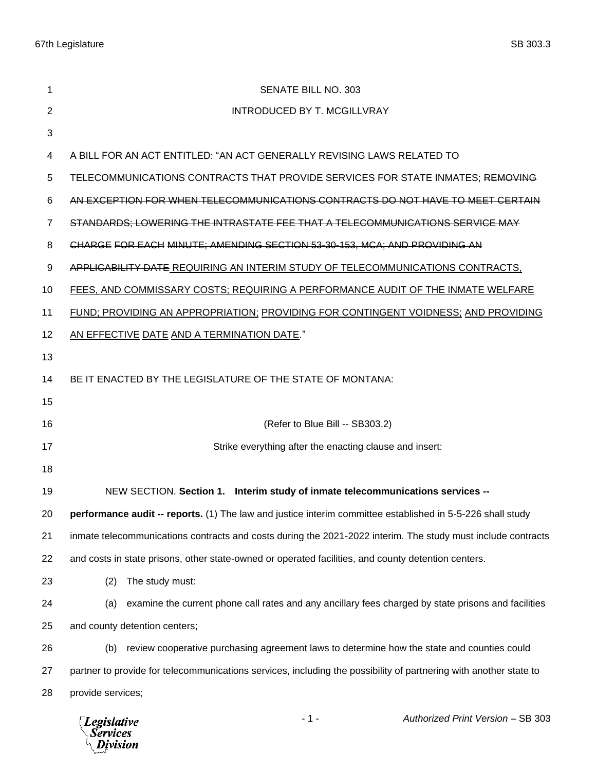| 1  | SENATE BILL NO. 303                                                                                               |  |  |
|----|-------------------------------------------------------------------------------------------------------------------|--|--|
| 2  | INTRODUCED BY T. MCGILLVRAY                                                                                       |  |  |
| 3  |                                                                                                                   |  |  |
| 4  | A BILL FOR AN ACT ENTITLED: "AN ACT GENERALLY REVISING LAWS RELATED TO                                            |  |  |
| 5  | TELECOMMUNICATIONS CONTRACTS THAT PROVIDE SERVICES FOR STATE INMATES; REMOVING                                    |  |  |
| 6  | AN EXCEPTION FOR WHEN TELECOMMUNICATIONS CONTRACTS DO NOT HAVE TO MEET CERTAIN                                    |  |  |
| 7  | STANDARDS; LOWERING THE INTRASTATE FEE THAT A TELECOMMUNICATIONS SERVICE MAY                                      |  |  |
| 8  | CHARGE FOR EACH MINUTE; AMENDING SECTION 53-30-153, MCA; AND PROVIDING AN                                         |  |  |
| 9  | APPLICABILITY DATE REQUIRING AN INTERIM STUDY OF TELECOMMUNICATIONS CONTRACTS,                                    |  |  |
| 10 | FEES, AND COMMISSARY COSTS; REQUIRING A PERFORMANCE AUDIT OF THE INMATE WELFARE                                   |  |  |
| 11 | FUND; PROVIDING AN APPROPRIATION; PROVIDING FOR CONTINGENT VOIDNESS; AND PROVIDING                                |  |  |
| 12 | AN EFFECTIVE DATE AND A TERMINATION DATE."                                                                        |  |  |
| 13 |                                                                                                                   |  |  |
| 14 | BE IT ENACTED BY THE LEGISLATURE OF THE STATE OF MONTANA:                                                         |  |  |
| 15 |                                                                                                                   |  |  |
| 16 | (Refer to Blue Bill -- SB303.2)                                                                                   |  |  |
| 17 | Strike everything after the enacting clause and insert:                                                           |  |  |
| 18 |                                                                                                                   |  |  |
| 19 | NEW SECTION. Section 1. Interim study of inmate telecommunications services --                                    |  |  |
| 20 | performance audit -- reports. (1) The law and justice interim committee established in 5-5-226 shall study        |  |  |
| 21 | inmate telecommunications contracts and costs during the 2021-2022 interim. The study must include contracts      |  |  |
| 22 | and costs in state prisons, other state-owned or operated facilities, and county detention centers.               |  |  |
| 23 | The study must:<br>(2)                                                                                            |  |  |
| 24 | examine the current phone call rates and any ancillary fees charged by state prisons and facilities<br>(a)        |  |  |
| 25 | and county detention centers;                                                                                     |  |  |
| 26 | review cooperative purchasing agreement laws to determine how the state and counties could<br>(b)                 |  |  |
| 27 | partner to provide for telecommunications services, including the possibility of partnering with another state to |  |  |
| 28 | provide services;                                                                                                 |  |  |
|    | $-1-$<br>Authorized Print Version - SB 303<br><b>Legislative</b><br>Services<br>Division                          |  |  |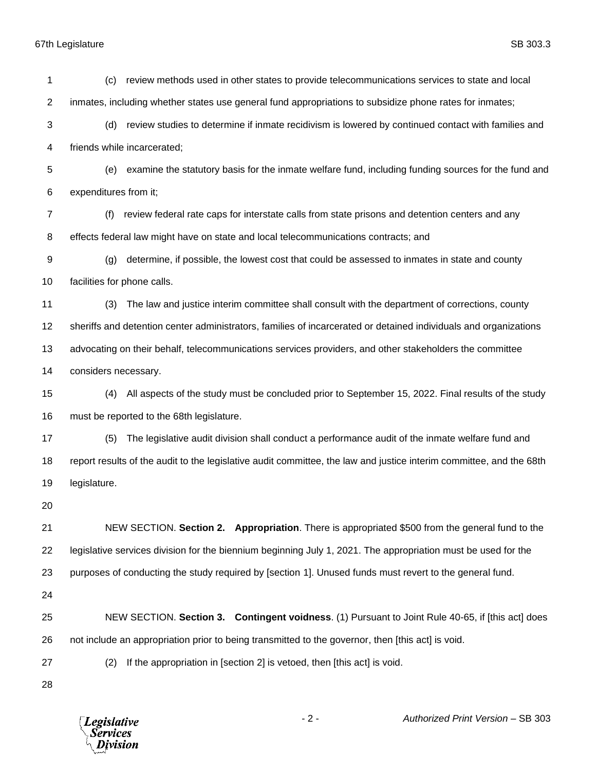## 67th Legislature SB 303.3

 (c) review methods used in other states to provide telecommunications services to state and local inmates, including whether states use general fund appropriations to subsidize phone rates for inmates; (d) review studies to determine if inmate recidivism is lowered by continued contact with families and friends while incarcerated; (e) examine the statutory basis for the inmate welfare fund, including funding sources for the fund and expenditures from it; (f) review federal rate caps for interstate calls from state prisons and detention centers and any effects federal law might have on state and local telecommunications contracts; and (g) determine, if possible, the lowest cost that could be assessed to inmates in state and county facilities for phone calls. (3) The law and justice interim committee shall consult with the department of corrections, county sheriffs and detention center administrators, families of incarcerated or detained individuals and organizations advocating on their behalf, telecommunications services providers, and other stakeholders the committee considers necessary. (4) All aspects of the study must be concluded prior to September 15, 2022. Final results of the study must be reported to the 68th legislature. (5) The legislative audit division shall conduct a performance audit of the inmate welfare fund and report results of the audit to the legislative audit committee, the law and justice interim committee, and the 68th legislature. NEW SECTION. **Section 2. Appropriation**. There is appropriated \$500 from the general fund to the legislative services division for the biennium beginning July 1, 2021. The appropriation must be used for the purposes of conducting the study required by [section 1]. Unused funds must revert to the general fund. NEW SECTION. **Section 3. Contingent voidness**. (1) Pursuant to Joint Rule 40-65, if [this act] does not include an appropriation prior to being transmitted to the governor, then [this act] is void. (2) If the appropriation in [section 2] is vetoed, then [this act] is void.